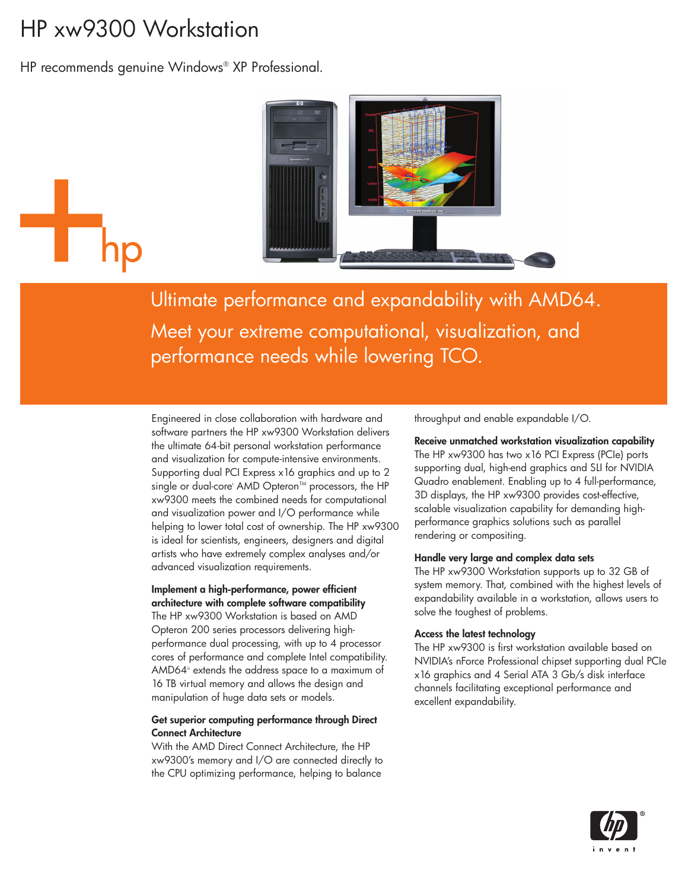# HP xw9300 Workstation

HP recommends genuine Windows® XP Professional.



Ultimate performance and expandability with AMD64. Meet your extreme computational, visualization, and performance needs while lowering TCO.

Engineered in close collaboration with hardware and software partners the HP xw9300 Workstation delivers the ultimate 64-bit personal workstation performance and visualization for compute-intensive environments. Supporting dual PCI Express x16 graphics and up to 2 single or dual-core<sup>i</sup> AMD Opteron<sup>™</sup> processors, the HP xw9300 meets the combined needs for computational and visualization power and I/O performance while helping to lower total cost of ownership. The HP xw9300 is ideal for scientists, engineers, designers and digital artists who have extremely complex analyses and/or advanced visualization requirements.

#### **Implement a high-performance, power efficient architecture with complete software compatibility**

The HP xw9300 Workstation is based on AMD Opteron 200 series processors delivering highperformance dual processing, with up to 4 processor cores of performance and complete Intel compatibility. AMD64<sup>ii</sup> extends the address space to a maximum of 16 TB virtual memory and allows the design and manipulation of huge data sets or models.

#### **Get superior computing performance through Direct Connect Architecture**

With the AMD Direct Connect Architecture, the HP xw9300's memory and I/O are connected directly to the CPU optimizing performance, helping to balance

throughput and enable expandable I/O.

**Receive unmatched workstation visualization capability** The HP xw9300 has two x16 PCI Express (PCIe) ports supporting dual, high-end graphics and SLI for NVIDIA Quadro enablement. Enabling up to 4 full-performance, 3D displays, the HP xw9300 provides cost-effective, scalable visualization capability for demanding highperformance graphics solutions such as parallel rendering or compositing.

#### **Handle very large and complex data sets**

The HP xw9300 Workstation supports up to 32 GB of system memory. That, combined with the highest levels of expandability available in a workstation, allows users to solve the toughest of problems.

#### **Access the latest technology**

The HP xw9300 is first workstation available based on NVIDIA's nForce Professional chipset supporting dual PCIe x16 graphics and 4 Serial ATA 3 Gb/s disk interface channels facilitating exceptional performance and excellent expandability.